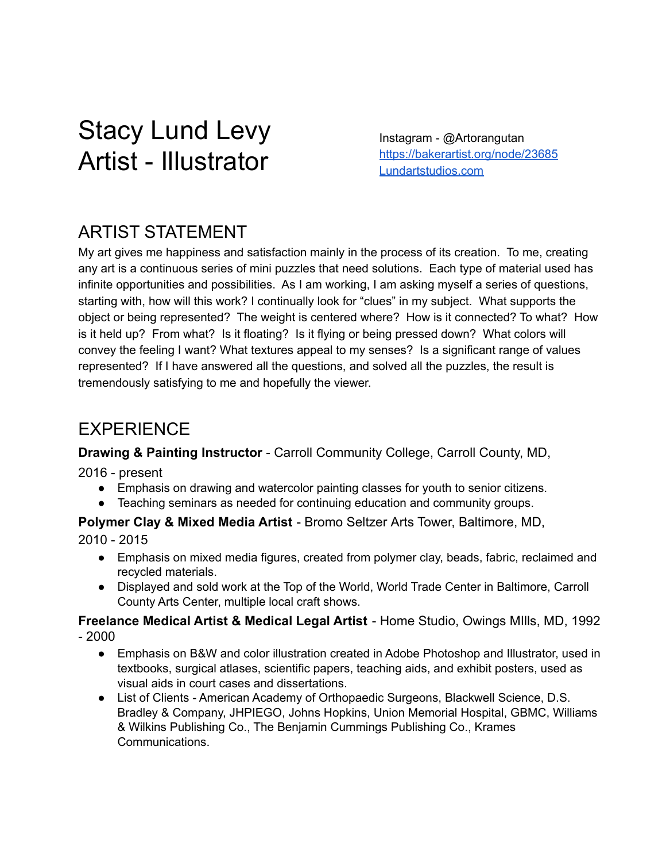# Stacy Lund Levy Artist - Illustrator

Instagram - @Artorangutan <https://bakerartist.org/node/23685> [Lundartstudios.com](https://www.lundartstudios.com/)

## ARTIST STATEMENT

My art gives me happiness and satisfaction mainly in the process of its creation. To me, creating any art is a continuous series of mini puzzles that need solutions. Each type of material used has infinite opportunities and possibilities. As I am working, I am asking myself a series of questions, starting with, how will this work? I continually look for "clues" in my subject. What supports the object or being represented? The weight is centered where? How is it connected? To what? How is it held up? From what? Is it floating? Is it flying or being pressed down? What colors will convey the feeling I want? What textures appeal to my senses? Is a significant range of values represented? If I have answered all the questions, and solved all the puzzles, the result is tremendously satisfying to me and hopefully the viewer.

### EXPERIENCE

**Drawing & Painting Instructor** - Carroll Community College, Carroll County, MD,

2016 - present

- Emphasis on drawing and watercolor painting classes for youth to senior citizens.
- Teaching seminars as needed for continuing education and community groups.

**Polymer Clay & Mixed Media Artist** - Bromo Seltzer Arts Tower, Baltimore, MD,

2010 - 2015

- Emphasis on mixed media figures, created from polymer clay, beads, fabric, reclaimed and recycled materials.
- Displayed and sold work at the Top of the World, World Trade Center in Baltimore, Carroll County Arts Center, multiple local craft shows.

**Freelance Medical Artist & Medical Legal Artist** - Home Studio, Owings MIlls, MD, 1992 - 2000

- Emphasis on B&W and color illustration created in Adobe Photoshop and Illustrator, used in textbooks, surgical atlases, scientific papers, teaching aids, and exhibit posters, used as visual aids in court cases and dissertations.
- List of Clients American Academy of Orthopaedic Surgeons, Blackwell Science, D.S. Bradley & Company, JHPIEGO, Johns Hopkins, Union Memorial Hospital, GBMC, Williams & Wilkins Publishing Co., The Benjamin Cummings Publishing Co., Krames Communications.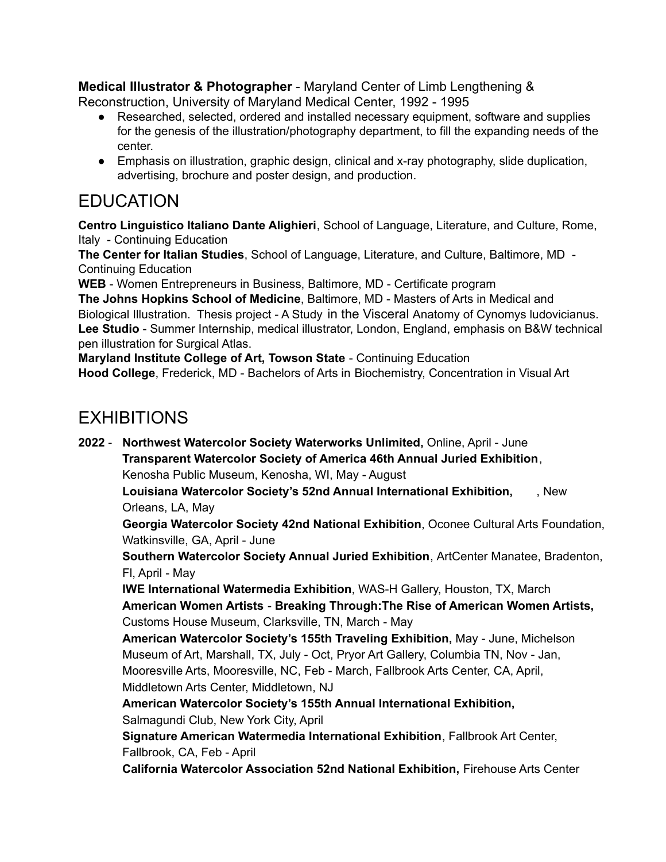**Medical Illustrator & Photographer** - Maryland Center of Limb Lengthening &

Reconstruction, University of Maryland Medical Center, 1992 - 1995

- Researched, selected, ordered and installed necessary equipment, software and supplies for the genesis of the illustration/photography department, to fill the expanding needs of the center.
- Emphasis on illustration, graphic design, clinical and x-ray photography, slide duplication, advertising, brochure and poster design, and production.

## EDUCATION

**Centro Linguistico Italiano Dante Alighieri**, School of Language, Literature, and Culture, Rome, Italy - Continuing Education

**The Center for Italian Studies**, School of Language, Literature, and Culture, Baltimore, MD - Continuing Education

**WEB** - Women Entrepreneurs in Business, Baltimore, MD - Certificate program

**The Johns Hopkins School of Medicine**, Baltimore, MD - Masters of Arts in Medical and Biological Illustration. Thesis project - A Study in the Visceral Anatomy of Cynomys ludovicianus. **Lee Studio** - Summer Internship, medical illustrator, London, England, emphasis on B&W technical pen illustration for Surgical Atlas.

**Maryland Institute College of Art, Towson State** - Continuing Education

**Hood College**, Frederick, MD - Bachelors of Arts in Biochemistry, Concentration in Visual Art

## EXHIBITIONS

**2022** - **Northwest Watercolor Society Waterworks Unlimited,** Online, April - June **Transparent Watercolor Society of America 46th Annual Juried Exhibition**, Kenosha Public Museum, Kenosha, WI, May - August **Louisiana Watercolor Society's 52nd Annual International Exhibition,** , New Orleans, LA, May **Georgia Watercolor Society 42nd National Exhibition**, Oconee Cultural Arts Foundation, Watkinsville, GA, April - June **Southern Watercolor Society Annual Juried Exhibition**, ArtCenter Manatee, Bradenton, Fl, April - May **IWE International Watermedia Exhibition**, WAS-H Gallery, Houston, TX, March **American Women Artists** - **Breaking Through:The Rise of American Women Artists,** Customs House Museum, Clarksville, TN, March - May **American Watercolor Society's 155th Traveling Exhibition,** May - June, Michelson Museum of Art, Marshall, TX, July - Oct, Pryor Art Gallery, Columbia TN, Nov - Jan, Mooresville Arts, Mooresville, NC, Feb - March, Fallbrook Arts Center, CA, April, Middletown Arts Center, Middletown, NJ **American Watercolor Society's 155th Annual International Exhibition,** Salmagundi Club, New York City, April **Signature American Watermedia International Exhibition**, Fallbrook Art Center, Fallbrook, CA, Feb - April **California Watercolor Association 52nd National Exhibition,** Firehouse Arts Center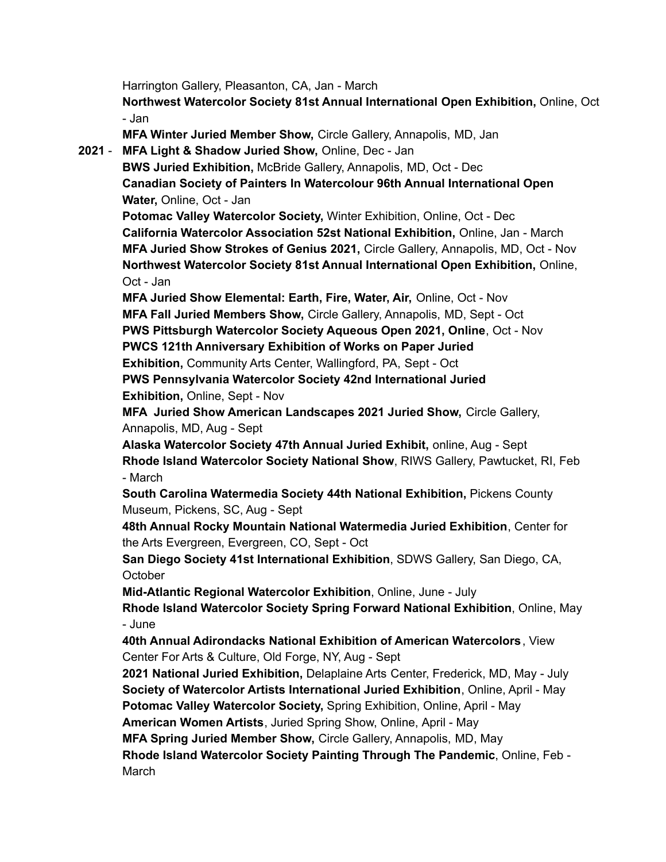Harrington Gallery, Pleasanton, CA, Jan - March

**Northwest Watercolor Society 81st Annual International Open Exhibition,** Online, Oct - Jan

**MFA Winter Juried Member Show,** Circle Gallery, Annapolis, MD, Jan

**2021** - **MFA Light & Shadow Juried Show,** Online, Dec - Jan

**BWS Juried Exhibition,** McBride Gallery, Annapolis, MD, Oct - Dec **Canadian Society of Painters In Watercolour 96th Annual International Open Water,** Online, Oct - Jan

**Potomac Valley Watercolor Society,** Winter Exhibition, Online, Oct - Dec **California Watercolor Association 52st National Exhibition,** Online, Jan - March **MFA Juried Show Strokes of Genius 2021,** Circle Gallery, Annapolis, MD, Oct - Nov **Northwest Watercolor Society 81st Annual International Open Exhibition,** Online, Oct - Jan

**MFA Juried Show Elemental: Earth, Fire, Water, Air,** Online, Oct - Nov **MFA Fall Juried Members Show,** Circle Gallery, Annapolis, MD, Sept - Oct **PWS Pittsburgh Watercolor Society Aqueous Open 2021, Online**, Oct - Nov **PWCS 121th Anniversary Exhibition of Works on Paper Juried Exhibition,** Community Arts Center, Wallingford, PA, Sept - Oct **PWS Pennsylvania Watercolor Society 42nd International Juried**

**Exhibition,** Online, Sept - Nov

**MFA Juried Show American Landscapes 2021 Juried Show,** Circle Gallery, Annapolis, MD, Aug - Sept

**Alaska Watercolor Society 47th Annual Juried Exhibit,** online, Aug - Sept **Rhode Island Watercolor Society National Show**, RIWS Gallery, Pawtucket, RI, Feb - March

**South Carolina Watermedia Society 44th National Exhibition,** Pickens County Museum, Pickens, SC, Aug - Sept

**48th Annual Rocky Mountain National Watermedia Juried Exhibition**, Center for the Arts Evergreen, Evergreen, CO, Sept - Oct

**San Diego Society 41st International Exhibition**, SDWS Gallery, San Diego, CA, **October** 

**Mid-Atlantic Regional Watercolor Exhibition**, Online, June - July

**Rhode Island Watercolor Society Spring Forward National Exhibition**, Online, May - June

**40th Annual Adirondacks National Exhibition of American Watercolors**, View Center For Arts & Culture, Old Forge, NY, Aug - Sept

**2021 National Juried Exhibition,** Delaplaine Arts Center, Frederick, MD, May - July **Society of Watercolor Artists International Juried Exhibition**, Online, April - May **Potomac Valley Watercolor Society,** Spring Exhibition, Online, April - May

**American Women Artists**, Juried Spring Show, Online, April - May

**MFA Spring Juried Member Show,** Circle Gallery, Annapolis, MD, May

**Rhode Island Watercolor Society Painting Through The Pandemic**, Online, Feb - March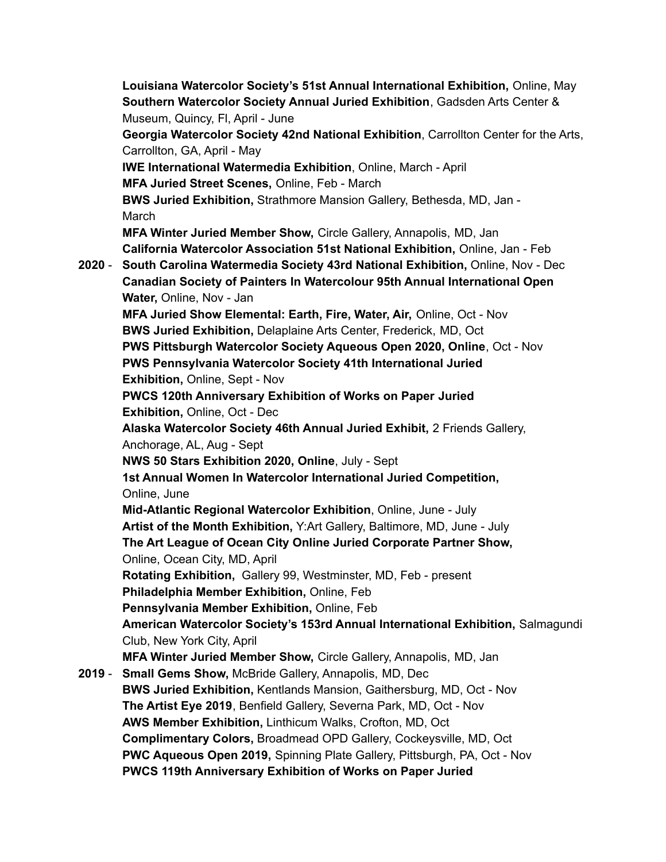**Louisiana Watercolor Society's 51st Annual International Exhibition,** Online, May **Southern Watercolor Society Annual Juried Exhibition**, Gadsden Arts Center & Museum, Quincy, Fl, April - June **Georgia Watercolor Society 42nd National Exhibition**, Carrollton Center for the Arts, Carrollton, GA, April - May **IWE International Watermedia Exhibition**, Online, March - April **MFA Juried Street Scenes,** Online, Feb - March **BWS Juried Exhibition,** Strathmore Mansion Gallery, Bethesda, MD, Jan - March **MFA Winter Juried Member Show,** Circle Gallery, Annapolis, MD, Jan **California Watercolor Association 51st National Exhibition,** Online, Jan - Feb **2020** - **South Carolina Watermedia Society 43rd National Exhibition,** Online, Nov - Dec **Canadian Society of Painters In Watercolour 95th Annual International Open Water,** Online, Nov - Jan **MFA Juried Show Elemental: Earth, Fire, Water, Air,** Online, Oct - Nov **BWS Juried Exhibition,** Delaplaine Arts Center, Frederick, MD, Oct **PWS Pittsburgh Watercolor Society Aqueous Open 2020, Online**, Oct - Nov **PWS Pennsylvania Watercolor Society 41th International Juried Exhibition,** Online, Sept - Nov **PWCS 120th Anniversary Exhibition of Works on Paper Juried Exhibition,** Online, Oct - Dec **Alaska Watercolor Society 46th Annual Juried Exhibit,** 2 Friends Gallery, Anchorage, AL, Aug - Sept **NWS 50 Stars Exhibition 2020, Online**, July - Sept **1st Annual Women In Watercolor International Juried Competition,** Online, June **Mid-Atlantic Regional Watercolor Exhibition**, Online, June - July **Artist of the Month Exhibition,** Y:Art Gallery, Baltimore, MD, June - July **The Art League of Ocean City Online Juried Corporate Partner Show,** Online, Ocean City, MD, April **Rotating Exhibition,** Gallery 99, Westminster, MD, Feb - present **Philadelphia Member Exhibition,** Online, Feb **Pennsylvania Member Exhibition,** Online, Feb **American Watercolor Society's 153rd Annual International Exhibition,** Salmagundi Club, New York City, April **MFA Winter Juried Member Show,** Circle Gallery, Annapolis, MD, Jan **2019** - **Small Gems Show,** McBride Gallery, Annapolis, MD, Dec **BWS Juried Exhibition,** Kentlands Mansion, Gaithersburg, MD, Oct - Nov **The Artist Eye 2019**, Benfield Gallery, Severna Park, MD, Oct - Nov **AWS Member Exhibition,** Linthicum Walks, Crofton, MD, Oct **Complimentary Colors,** Broadmead OPD Gallery, Cockeysville, MD, Oct **PWC Aqueous Open 2019,** Spinning Plate Gallery, Pittsburgh, PA, Oct - Nov **PWCS 119th Anniversary Exhibition of Works on Paper Juried**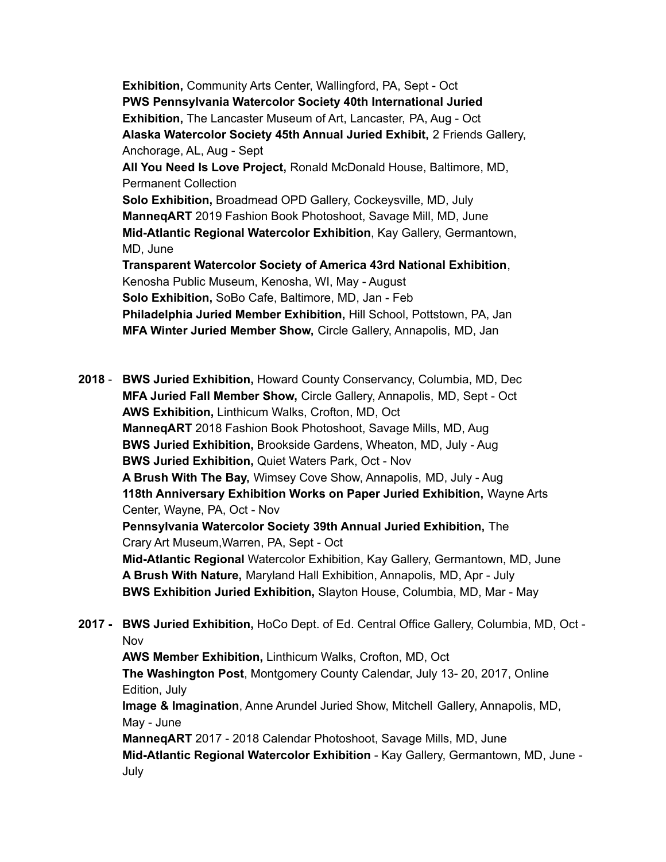**Exhibition,** Community Arts Center, Wallingford, PA, Sept - Oct **PWS Pennsylvania Watercolor Society 40th International Juried Exhibition,** The Lancaster Museum of Art, Lancaster, PA, Aug - Oct **Alaska Watercolor Society 45th Annual Juried Exhibit,** 2 Friends Gallery, Anchorage, AL, Aug - Sept **All You Need Is Love Project,** Ronald McDonald House, Baltimore, MD, Permanent Collection **Solo Exhibition,** Broadmead OPD Gallery, Cockeysville, MD, July **ManneqART** 2019 Fashion Book Photoshoot, Savage Mill, MD, June **Mid-Atlantic Regional Watercolor Exhibition**, Kay Gallery, Germantown, MD, June **Transparent Watercolor Society of America 43rd National Exhibition**, Kenosha Public Museum, Kenosha, WI, May - August **Solo Exhibition,** SoBo Cafe, Baltimore, MD, Jan - Feb **Philadelphia Juried Member Exhibition,** Hill School, Pottstown, PA, Jan **MFA Winter Juried Member Show,** Circle Gallery, Annapolis, MD, Jan

**2018** - **BWS Juried Exhibition,** Howard County Conservancy, Columbia, MD, Dec **MFA Juried Fall Member Show,** Circle Gallery, Annapolis, MD, Sept - Oct **AWS Exhibition,** Linthicum Walks, Crofton, MD, Oct **ManneqART** 2018 Fashion Book Photoshoot, Savage Mills, MD, Aug **BWS Juried Exhibition,** Brookside Gardens, Wheaton, MD, July - Aug **BWS Juried Exhibition,** Quiet Waters Park, Oct - Nov **A Brush With The Bay,** Wimsey Cove Show, Annapolis, MD, July - Aug **118th Anniversary Exhibition Works on Paper Juried Exhibition,** Wayne Arts Center, Wayne, PA, Oct - Nov **Pennsylvania Watercolor Society 39th Annual Juried Exhibition,** The Crary Art Museum,Warren, PA, Sept - Oct **Mid-Atlantic Regional** Watercolor Exhibition, Kay Gallery, Germantown, MD, June **A Brush With Nature,** Maryland Hall Exhibition, Annapolis, MD, Apr - July **BWS Exhibition Juried Exhibition,** Slayton House, Columbia, MD, Mar - May

**2017 - BWS Juried Exhibition,** HoCo Dept. of Ed. Central Office Gallery, Columbia, MD, Oct - Nov

**AWS Member Exhibition,** Linthicum Walks, Crofton, MD, Oct **The Washington Post**, Montgomery County Calendar, July 13- 20, 2017, Online Edition, July

**Image & Imagination**, Anne Arundel Juried Show, Mitchell Gallery, Annapolis, MD, May - June

**ManneqART** 2017 - 2018 Calendar Photoshoot, Savage Mills, MD, June **Mid-Atlantic Regional Watercolor Exhibition** - Kay Gallery, Germantown, MD, June - July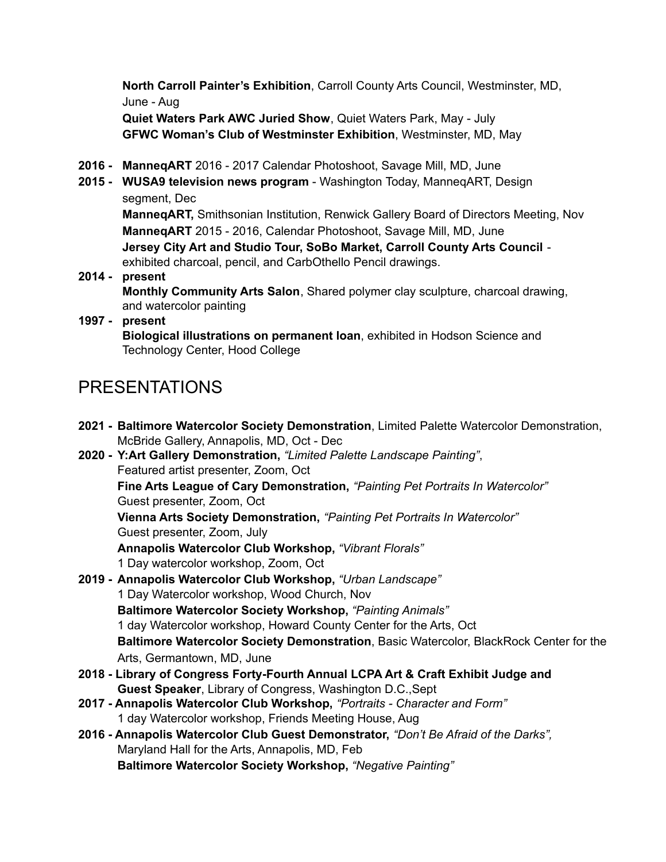**North Carroll Painter's Exhibition**, Carroll County Arts Council, Westminster, MD, June - Aug

**Quiet Waters Park AWC Juried Show**, Quiet Waters Park, May - July **GFWC Woman's Club of Westminster Exhibition**, Westminster, MD, May

- **2016 - ManneqART** 2016 2017 Calendar Photoshoot, Savage Mill, MD, June
- **2015 - WUSA9 television news program** Washington Today, ManneqART, Design segment, Dec

**ManneqART,** Smithsonian Institution, Renwick Gallery Board of Directors Meeting, Nov **ManneqART** 2015 - 2016, Calendar Photoshoot, Savage Mill, MD, June **Jersey City Art and Studio Tour, SoBo Market, Carroll County Arts Council** exhibited charcoal, pencil, and CarbOthello Pencil drawings.

#### **2014 - present Monthly Community Arts Salon**, Shared polymer clay sculpture, charcoal drawing, and watercolor painting

### **1997 - present**

**Biological illustrations on permanent loan**, exhibited in Hodson Science and Technology Center, Hood College

### PRESENTATIONS

**2021 - Baltimore Watercolor Society Demonstration**, Limited Palette Watercolor Demonstration, McBride Gallery, Annapolis, MD, Oct - Dec **2020 - Y:Art Gallery Demonstration,** *"Limited Palette Landscape Painting"*, Featured artist presenter, Zoom, Oct **Fine Arts League of Cary Demonstration,** *"Painting Pet Portraits In Watercolor"* Guest presenter, Zoom, Oct **Vienna Arts Society Demonstration,** *"Painting Pet Portraits In Watercolor"* Guest presenter, Zoom, July **Annapolis Watercolor Club Workshop,** *"Vibrant Florals"* 1 Day watercolor workshop, Zoom, Oct **2019 - Annapolis Watercolor Club Workshop,** *"Urban Landscape"* 1 Day Watercolor workshop, Wood Church, Nov **Baltimore Watercolor Society Workshop,** *"Painting Animals"* 1 day Watercolor workshop, Howard County Center for the Arts, Oct **Baltimore Watercolor Society Demonstration**, Basic Watercolor, BlackRock Center for the Arts, Germantown, MD, June **2018 - Library of Congress Forty-Fourth Annual LCPA Art & Craft Exhibit Judge and Guest Speaker**, Library of Congress, Washington D.C.,Sept **2017 - Annapolis Watercolor Club Workshop,** *"Portraits - Character and Form"* 1 day Watercolor workshop, Friends Meeting House, Aug **2016 - Annapolis Watercolor Club Guest Demonstrator,** *"Don't Be Afraid of the Darks",*

Maryland Hall for the Arts, Annapolis, MD, Feb

**Baltimore Watercolor Society Workshop,** *"Negative Painting"*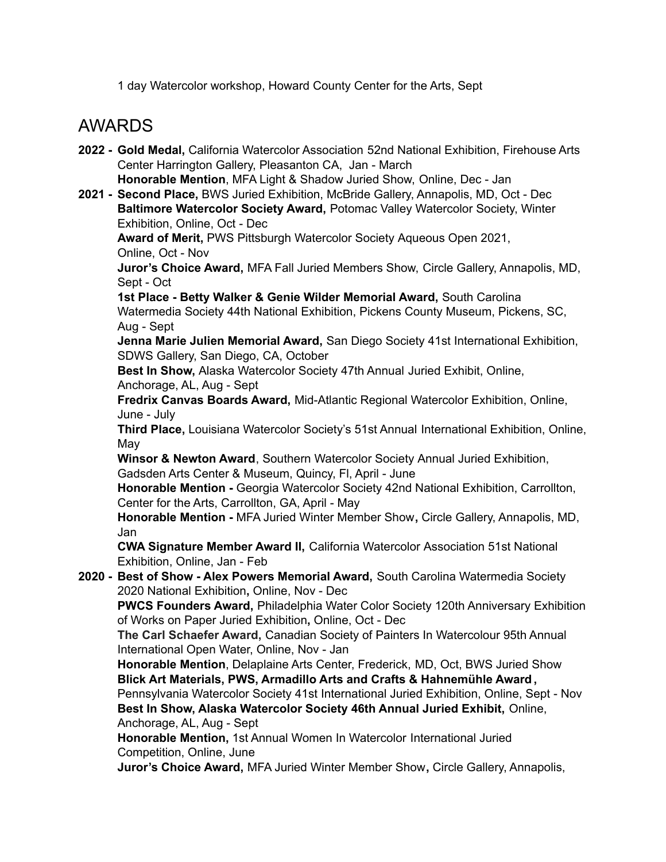1 day Watercolor workshop, Howard County Center for the Arts, Sept

### AWARDS

- **2022 - Gold Medal,** California Watercolor Association 52nd National Exhibition, Firehouse Arts Center Harrington Gallery, Pleasanton CA, Jan - March **Honorable Mention**, MFA Light & Shadow Juried Show, Online, Dec - Jan
- **2021 - Second Place,** BWS Juried Exhibition, McBride Gallery, Annapolis, MD, Oct Dec **Baltimore Watercolor Society Award,** Potomac Valley Watercolor Society, Winter Exhibition, Online, Oct - Dec

**Award of Merit,** PWS Pittsburgh Watercolor Society Aqueous Open 2021, Online, Oct - Nov

**Juror's Choice Award,** MFA Fall Juried Members Show, Circle Gallery, Annapolis, MD, Sept - Oct

**1st Place - Betty Walker & Genie Wilder Memorial Award,** South Carolina Watermedia Society 44th National Exhibition, Pickens County Museum, Pickens, SC, Aug - Sept

**Jenna Marie Julien Memorial Award,** San Diego Society 41st International Exhibition, SDWS Gallery, San Diego, CA, October

**Best In Show,** Alaska Watercolor Society 47th Annual Juried Exhibit, Online, Anchorage, AL, Aug - Sept

**Fredrix Canvas Boards Award,** Mid-Atlantic Regional Watercolor Exhibition, Online, June - July

**Third Place,** Louisiana Watercolor Society's 51st Annual International Exhibition, Online, May

**Winsor & Newton Award**, Southern Watercolor Society Annual Juried Exhibition, Gadsden Arts Center & Museum, Quincy, Fl, April - June

**Honorable Mention -** Georgia Watercolor Society 42nd National Exhibition, Carrollton, Center for the Arts, Carrollton, GA, April - May

**Honorable Mention -** MFA Juried Winter Member Show**,** Circle Gallery, Annapolis, MD, Jan

**CWA Signature Member Award II,** California Watercolor Association 51st National Exhibition, Online, Jan - Feb

**2020 - Best of Show - Alex Powers Memorial Award,** South Carolina Watermedia Society 2020 National Exhibition**,** Online, Nov - Dec

**PWCS Founders Award,** Philadelphia Water Color Society 120th Anniversary Exhibition of Works on Paper Juried Exhibition**,** Online, Oct - Dec

**The Carl Schaefer Award,** Canadian Society of Painters In Watercolour 95th Annual International Open Water, Online, Nov - Jan

**Honorable Mention**, Delaplaine Arts Center, Frederick, MD, Oct, BWS Juried Show **Blick Art Materials, PWS, Armadillo Arts and Crafts & Hahnemühle Award,** Pennsylvania Watercolor Society 41st International Juried Exhibition, Online, Sept - Nov **Best In Show, Alaska Watercolor Society 46th Annual Juried Exhibit,** Online, Anchorage, AL, Aug - Sept

**Honorable Mention,** 1st Annual Women In Watercolor International Juried Competition, Online, June

**Juror's Choice Award,** MFA Juried Winter Member Show**,** Circle Gallery, Annapolis,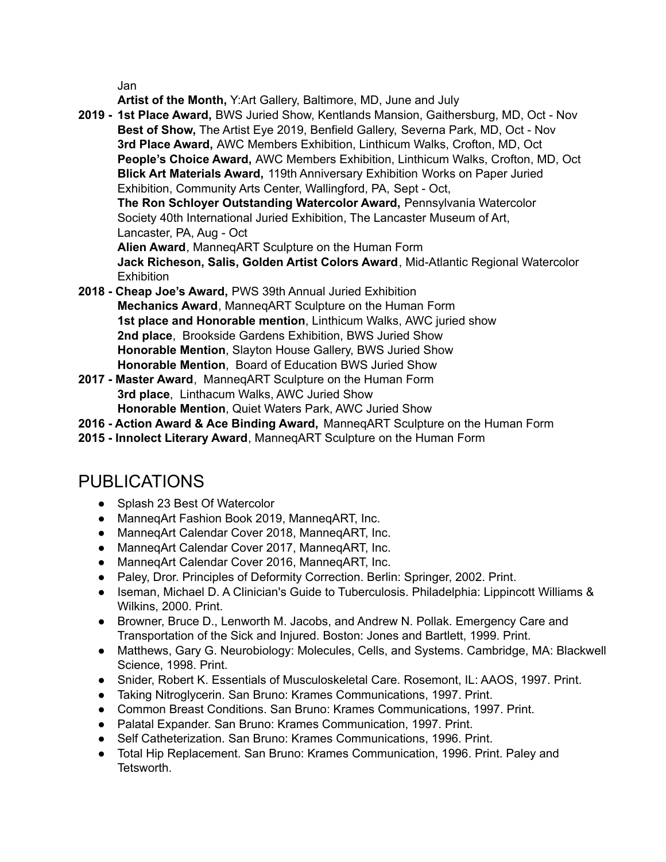Jan

**Artist of the Month,** Y:Art Gallery, Baltimore, MD, June and July

**2019 - 1st Place Award,** BWS Juried Show, Kentlands Mansion, Gaithersburg, MD, Oct - Nov **Best of Show,** The Artist Eye 2019, Benfield Gallery, Severna Park, MD, Oct - Nov **3rd Place Award,** AWC Members Exhibition, Linthicum Walks, Crofton, MD, Oct **People's Choice Award,** AWC Members Exhibition, Linthicum Walks, Crofton, MD, Oct **Blick Art Materials Award,** 119th Anniversary Exhibition Works on Paper Juried Exhibition, Community Arts Center, Wallingford, PA, Sept - Oct, **The Ron Schloyer Outstanding Watercolor Award,** Pennsylvania Watercolor

Society 40th International Juried Exhibition, The Lancaster Museum of Art, Lancaster, PA, Aug - Oct

**Alien Award**, ManneqART Sculpture on the Human Form **Jack Richeson, Salis, Golden Artist Colors Award**, Mid-Atlantic Regional Watercolor **Exhibition** 

- **2018 - Cheap Joe's Award,** PWS 39th Annual Juried Exhibition **Mechanics Award**, ManneqART Sculpture on the Human Form **1st place and Honorable mention**, Linthicum Walks, AWC juried show **2nd place**, Brookside Gardens Exhibition, BWS Juried Show **Honorable Mention**, Slayton House Gallery, BWS Juried Show **Honorable Mention**, Board of Education BWS Juried Show
- **2017 - Master Award**, ManneqART Sculpture on the Human Form **3rd place**, Linthacum Walks, AWC Juried Show **Honorable Mention**, Quiet Waters Park, AWC Juried Show
- **2016 - Action Award & Ace Binding Award,** ManneqART Sculpture on the Human Form
- **2015 - Innolect Literary Award**, ManneqART Sculpture on the Human Form

## PUBLICATIONS

- Splash 23 Best Of Watercolor
- ManneqArt Fashion Book 2019, ManneqART, Inc.
- ManneqArt Calendar Cover 2018, ManneqART, Inc.
- ManneqArt Calendar Cover 2017, ManneqART, Inc.
- ManneqArt Calendar Cover 2016, ManneqART, Inc.
- Paley, Dror. Principles of Deformity Correction. Berlin: Springer, 2002. Print.
- Iseman, Michael D. A Clinician's Guide to Tuberculosis. Philadelphia: Lippincott Williams & Wilkins, 2000. Print.
- Browner, Bruce D., Lenworth M. Jacobs, and Andrew N. Pollak. Emergency Care and Transportation of the Sick and Injured. Boston: Jones and Bartlett, 1999. Print.
- Matthews, Gary G. Neurobiology: Molecules, Cells, and Systems. Cambridge, MA: Blackwell Science, 1998. Print.
- Snider, Robert K. Essentials of Musculoskeletal Care. Rosemont, IL: AAOS, 1997. Print.
- Taking Nitroglycerin. San Bruno: Krames Communications, 1997. Print.
- Common Breast Conditions. San Bruno: Krames Communications, 1997. Print.
- Palatal Expander. San Bruno: Krames Communication, 1997. Print.
- Self Catheterization, San Bruno: Krames Communications, 1996. Print.
- Total Hip Replacement. San Bruno: Krames Communication, 1996. Print. Paley and Tetsworth.